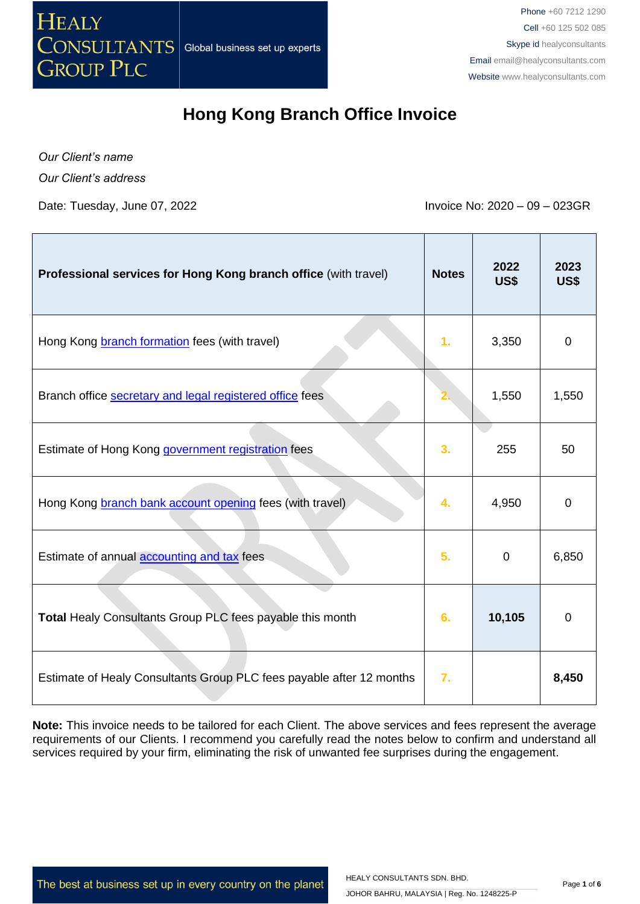

*Our Client's name Our Client's address*

Date: Tuesday, June 07, 2022 **Invoice No: 2020** – 09 – 023GR

| Professional services for Hong Kong branch office (with travel)      | <b>Notes</b>     | 2022<br>US\$ | 2023<br>US\$ |
|----------------------------------------------------------------------|------------------|--------------|--------------|
| Hong Kong <b>branch formation</b> fees (with travel)                 | 1.               | 3,350        | $\Omega$     |
| Branch office secretary and legal registered office fees             |                  | 1,550        | 1,550        |
| Estimate of Hong Kong government registration fees                   | 3.               | 255          | 50           |
| Hong Kong branch bank account opening fees (with travel)             | 4.               | 4,950        | 0            |
| Estimate of annual accounting and tax fees                           | 5.               | $\mathbf 0$  | 6,850        |
| Total Healy Consultants Group PLC fees payable this month            | 6.               | 10,105       | $\Omega$     |
| Estimate of Healy Consultants Group PLC fees payable after 12 months | $\overline{7}$ . |              | 8,450        |

**Note:** This invoice needs to be tailored for each Client. The above services and fees represent the average requirements of our Clients. I recommend you carefully read the notes below to confirm and understand all services required by your firm, eliminating the risk of unwanted fee surprises during the engagement.

The best at business set up in every country on the planet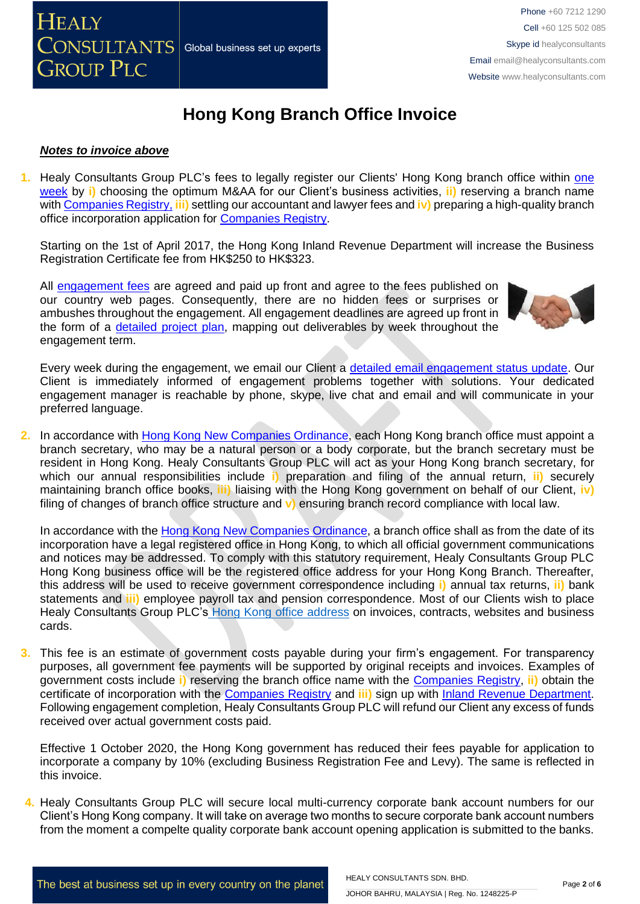

### *Notes to invoice above*

**1.** Healy Consultants Group PLC's fees to legally register our Clients' Hong Kong branch office within [one](http://www.healyconsultants.com/hong-kong-company-registration/incorporation-steps/) [week](http://www.healyconsultants.com/hong-kong-company-registration/incorporation-steps/) by **i)** choosing the optimum M&AA for our Client's business activities, **ii)** reserving a branch name with [Companies Registry,](http://www.cr.gov.hk/en/public/services.htm) **iii)** settling our accountant and lawyer fees and **iv)** preparing a high-quality branch office incorporation application for [Companies Registry.](http://www.cr.gov.hk/en/public/services.htm)

Starting on the 1st of April 2017, the Hong Kong Inland Revenue Department will increase the Business Registration Certificate fee from HK\$250 to HK\$323.

All [engagement fees](http://www.healyconsultants.com/company-registration-fees/) are agreed and paid up front and agree to the fees published on our country web pages. Consequently, there are no hidden fees or surprises or ambushes throughout the engagement. All engagement deadlines are agreed up front in the form of a [detailed project plan,](http://www.healyconsultants.com/index-important-links/example-project-plan/) mapping out deliverables by week throughout the engagement term.



Every week during the engagement, we email our Client a [detailed email engagement status update.](http://www.healyconsultants.com/index-important-links/weekly-engagement-status-email/) Our Client is immediately informed of engagement problems together with solutions. Your dedicated engagement manager is reachable by phone, skype, live chat and email and will communicate in your preferred language.

**2.** In accordance with [Hong Kong New Companies Ordinance,](http://www.cr.gov.hk/en/companies_ordinance/docs/NewCO_C622_HL_FullVersion-e.pdf) each Hong Kong branch office must appoint a branch secretary, who may be a natural person or a body corporate, but the branch secretary must be resident in Hong Kong. Healy Consultants Group PLC will act as your Hong Kong branch secretary, for which our annual responsibilities include **i)** preparation and filing of the annual return, **ii)** securely maintaining branch office books, **iii)** liaising with the Hong Kong government on behalf of our Client, **iv)** filing of changes of branch office structure and **v)** ensuring branch record compliance with local law.

In accordance with the [Hong Kong New Companies Ordinance,](http://www.cr.gov.hk/en/companies_ordinance/docs/NewCO_C622_HL_FullVersion-e.pdf) a branch office shall as from the date of its incorporation have a legal registered office in Hong Kong, to which all official government communications and notices may be addressed. To comply with this statutory requirement, Healy Consultants Group PLC Hong Kong business office will be the registered office address for your Hong Kong Branch. Thereafter, this address will be used to receive government correspondence including **i)** annual tax returns, **ii)** bank statements and **iii)** employee payroll tax and pension correspondence. Most of our Clients wish to place Healy Consultants Group PLC's [Hong Kong office address](http://www.healyconsultants.com/virtual-office/) on invoices, contracts, websites and business cards.

**3.** This fee is an estimate of government costs payable during your firm's engagement. For transparency purposes, all government fee payments will be supported by original receipts and invoices. Examples of government costs include **i)** reserving the branch office name with the [Companies Registry,](http://www.cr.gov.hk/en/public/services.htm) **ii)** obtain the certificate of incorporation with the [Companies Registry](http://www.cr.gov.hk/en/public/services.htm) and **iii)** sign up with [Inland Revenue Department.](http://www.ird.gov.hk/eng/welcome.htm) Following engagement completion, Healy Consultants Group PLC will refund our Client any excess of funds received over actual government costs paid.

Effective 1 October 2020, the Hong Kong government has reduced their fees payable for application to incorporate a company by 10% (excluding Business Registration Fee and Levy). The same is reflected in this invoice.

**4.** Healy Consultants Group PLC will secure local multi-currency corporate bank account numbers for our Client's Hong Kong company. It will take on average two months to secure corporate bank account numbers from the moment a compelte quality corporate bank account opening application is submitted to the banks.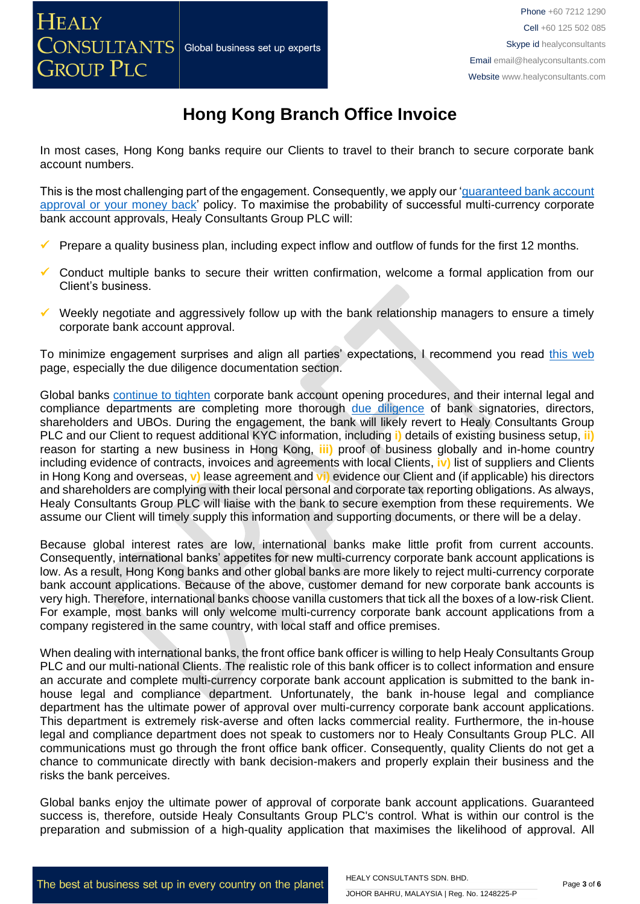In most cases, Hong Kong banks require our Clients to travel to their branch to secure corporate bank account numbers.

This is the most challenging part of the engagement. Consequently, we apply our 'guaranteed bank account [approval or your money back'](https://www.healyconsultants.com/corporate-banking-services/guaranteed-corporate-bank-account-approvals/) policy. To maximise the probability of successful multi-currency corporate bank account approvals, Healy Consultants Group PLC will:

- Prepare a quality business plan, including expect inflow and outflow of funds for the first 12 months.
- Conduct multiple banks to secure their written confirmation, welcome a formal application from our Client's business.
- $\checkmark$  Weekly negotiate and aggressively follow up with the bank relationship managers to ensure a timely corporate bank account approval.

To minimize engagement surprises and align all parties' expectations, I recommend you read [this web](https://www.healyconsultants.com/multi-currency-corporate-bank-account/) page, especially the due diligence documentation section.

Global banks [continue to tighten](https://www.healyconsultants.com/international-banking/opening-corporate-bank-accounts/) corporate bank account opening procedures, and their internal legal and compliance departments are completing more thorough [due diligence](http://www.healyconsultants.com/due-diligence/) of bank signatories, directors, shareholders and UBOs. During the engagement, the bank will likely revert to Healy Consultants Group PLC and our Client to request additional KYC information, including **i)** details of existing business setup, **ii)** reason for starting a new business in Hong Kong, **iii)** proof of business globally and in-home country including evidence of contracts, invoices and agreements with local Clients, **iv)** list of suppliers and Clients in Hong Kong and overseas, **v)** lease agreement and **vi)** evidence our Client and (if applicable) his directors and shareholders are complying with their local personal and corporate tax reporting obligations. As always, Healy Consultants Group PLC will liaise with the bank to secure exemption from these requirements. We assume our Client will timely supply this information and supporting documents, or there will be a delay.

Because global interest rates are low, international banks make little profit from current accounts. Consequently, international banks' appetites for new multi-currency corporate bank account applications is low. As a result, Hong Kong banks and other global banks are more likely to reject multi-currency corporate bank account applications. Because of the above, customer demand for new corporate bank accounts is very high. Therefore, international banks choose vanilla customers that tick all the boxes of a low-risk Client. For example, most banks will only welcome multi-currency corporate bank account applications from a company registered in the same country, with local staff and office premises.

When dealing with international banks, the front office bank officer is willing to help Healy Consultants Group PLC and our multi-national Clients. The realistic role of this bank officer is to collect information and ensure an accurate and complete multi-currency corporate bank account application is submitted to the bank inhouse legal and compliance department. Unfortunately, the bank in-house legal and compliance department has the ultimate power of approval over multi-currency corporate bank account applications. This department is extremely risk-averse and often lacks commercial reality. Furthermore, the in-house legal and compliance department does not speak to customers nor to Healy Consultants Group PLC. All communications must go through the front office bank officer. Consequently, quality Clients do not get a chance to communicate directly with bank decision-makers and properly explain their business and the risks the bank perceives.

Global banks enjoy the ultimate power of approval of corporate bank account applications. Guaranteed success is, therefore, outside Healy Consultants Group PLC's control. What is within our control is the preparation and submission of a high-quality application that maximises the likelihood of approval. All

HEALY CONSULTANTS SDN. BHD.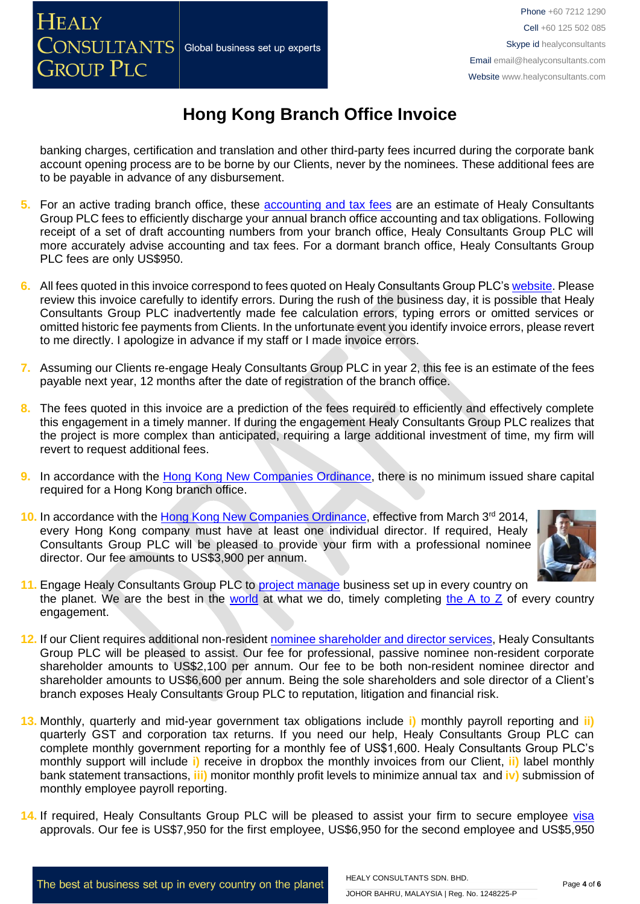banking charges, certification and translation and other third-party fees incurred during the corporate bank account opening process are to be borne by our Clients, never by the nominees. These additional fees are to be payable in advance of any disbursement.

- **5.** For an active trading branch office, these [accounting and tax fees](http://www.healyconsultants.com/hong-kong-company-registration/accounting-legal/) are an estimate of Healy Consultants Group PLC fees to efficiently discharge your annual branch office accounting and tax obligations. Following receipt of a set of draft accounting numbers from your branch office, Healy Consultants Group PLC will more accurately advise accounting and tax fees. For a dormant branch office, Healy Consultants Group PLC fees are only US\$950.
- **6.** All fees quoted in this invoice correspond to fees quoted on Healy Consultants Group PLC's [website.](http://www.healyconsultants.com/company-registration-fees/) Please review this invoice carefully to identify errors. During the rush of the business day, it is possible that Healy Consultants Group PLC inadvertently made fee calculation errors, typing errors or omitted services or omitted historic fee payments from Clients. In the unfortunate event you identify invoice errors, please revert to me directly. I apologize in advance if my staff or I made invoice errors.
- **7.** Assuming our Clients re-engage Healy Consultants Group PLC in year 2, this fee is an estimate of the fees payable next year, 12 months after the date of registration of the branch office.
- **8.** The fees quoted in this invoice are a prediction of the fees required to efficiently and effectively complete this engagement in a timely manner. If during the engagement Healy Consultants Group PLC realizes that the project is more complex than anticipated, requiring a large additional investment of time, my firm will revert to request additional fees.
- **9.** In accordance with the [Hong Kong New Companies Ordinance,](http://www.cr.gov.hk/en/companies_ordinance/docs/NewCO_C622_HL_FullVersion-e.pdf) there is no minimum issued share capital required for a Hong Kong branch office.
- 10. In accordance with the [Hong Kong New Companies Ordinance,](http://www.cr.gov.hk/en/companies_ordinance/docs/NewCO_C622_HL_FullVersion-e.pdf) effective from March 3<sup>rd</sup> 2014, every Hong Kong company must have at least one individual director. If required, Healy Consultants Group PLC will be pleased to provide your firm with a professional nominee director. Our fee amounts to US\$3,900 per annum.



- 11. Engage Healy Consultants Group PLC to **project manage** business set up in every country on the planet. We are the best in the [world](http://www.healyconsultants.com/best-in-the-world/) at what we do, timely completing the  $A$  to  $Z$  of every country engagement.
- **12.** If our Client requires additional non-residen[t nominee shareholder and director services,](http://www.healyconsultants.com/corporate-outsourcing-services/nominee-shareholders-directors/) Healy Consultants Group PLC will be pleased to assist. Our fee for professional, passive nominee non-resident corporate shareholder amounts to US\$2,100 per annum. Our fee to be both non-resident nominee director and shareholder amounts to US\$6,600 per annum. Being the sole shareholders and sole director of a Client's branch exposes Healy Consultants Group PLC to reputation, litigation and financial risk.
- **13.** Monthly, quarterly and mid-year government tax obligations include **i)** monthly payroll reporting and **ii)** quarterly GST and corporation tax returns. If you need our help, Healy Consultants Group PLC can complete monthly government reporting for a monthly fee of US\$1,600. Healy Consultants Group PLC's monthly support will include **i)** receive in dropbox the monthly invoices from our Client, **ii)** label monthly bank statement transactions, **iii)** monitor monthly profit levels to minimize annual tax and **iv)** submission of monthly employee payroll reporting.
- **14.** If required, Healy Consultants Group PLC will be pleased to assist your firm to secure employee [visa](http://www.healyconsultants.com/hong-kong-company-registration/formation-support-services/) approvals. Our fee is US\$7,950 for the first employee, US\$6,950 for the second employee and US\$5,950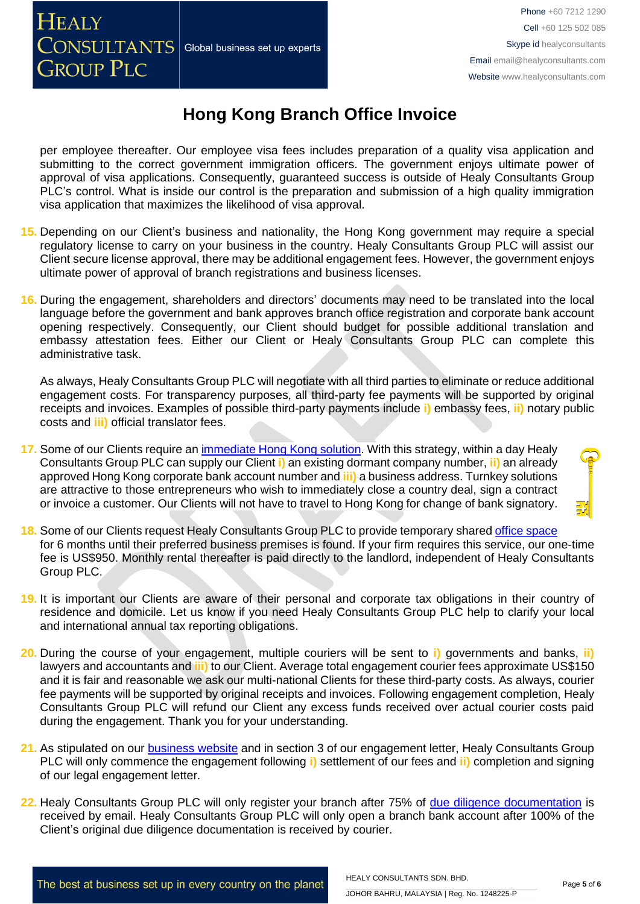per employee thereafter. Our employee visa fees includes preparation of a quality visa application and submitting to the correct government immigration officers. The government enjoys ultimate power of approval of visa applications. Consequently, guaranteed success is outside of Healy Consultants Group PLC's control. What is inside our control is the preparation and submission of a high quality immigration visa application that maximizes the likelihood of visa approval.

- **15.** Depending on our Client's business and nationality, the Hong Kong government may require a special regulatory license to carry on your business in the country. Healy Consultants Group PLC will assist our Client secure license approval, there may be additional engagement fees. However, the government enjoys ultimate power of approval of branch registrations and business licenses.
- **16.** During the engagement, shareholders and directors' documents may need to be translated into the local language before the government and bank approves branch office registration and corporate bank account opening respectively. Consequently, our Client should budget for possible additional translation and embassy attestation fees. Either our Client or Healy Consultants Group PLC can complete this administrative task.

As always, Healy Consultants Group PLC will negotiate with all third parties to eliminate or reduce additional engagement costs. For transparency purposes, all third-party fee payments will be supported by original receipts and invoices. Examples of possible third-party payments include **i)** embassy fees, **ii)** notary public costs and **iii)** official translator fees.

- **17.** Some of our Clients require an [immediate Hong Kong solution.](http://www.healyconsultants.com/hong-kong-company-registration/turnkey-solutions/) With this strategy, within a day Healy Consultants Group PLC can supply our Client **i)** an existing dormant company number, **ii)** an already approved Hong Kong corporate bank account number and **iii)** a business address. Turnkey solutions are attractive to those entrepreneurs who wish to immediately close a country deal, sign a contract or invoice a customer. Our Clients will not have to travel to Hong Kong for change of bank signatory.
- **18.** Some of our Clients request Healy Consultants Group PLC to provide temporary shared [office space](http://www.healyconsultants.com/virtual-office/) for 6 months until their preferred business premises is found. If your firm requires this service, our one-time fee is US\$950. Monthly rental thereafter is paid directly to the landlord, independent of Healy Consultants Group PLC.
- **19.** It is important our Clients are aware of their personal and corporate tax obligations in their country of residence and domicile. Let us know if you need Healy Consultants Group PLC help to clarify your local and international annual tax reporting obligations.
- **20.** During the course of your engagement, multiple couriers will be sent to **i)** governments and banks, **ii)** lawyers and accountants and **iii)** to our Client. Average total engagement courier fees approximate US\$150 and it is fair and reasonable we ask our multi-national Clients for these third-party costs. As always, courier fee payments will be supported by original receipts and invoices. Following engagement completion, Healy Consultants Group PLC will refund our Client any excess funds received over actual courier costs paid during the engagement. Thank you for your understanding.
- **21.** As stipulated on our [business website](http://www.healyconsultants.com/) and in section 3 of our engagement letter, Healy Consultants Group PLC will only commence the engagement following **i)** settlement of our fees and **ii)** completion and signing of our legal engagement letter.
- **22.** Healy Consultants Group PLC will only register your branch after 75% of [due diligence documentation](http://www.healyconsultants.com/due-diligence/) is received by email. Healy Consultants Group PLC will only open a branch bank account after 100% of the Client's original due diligence documentation is received by courier.